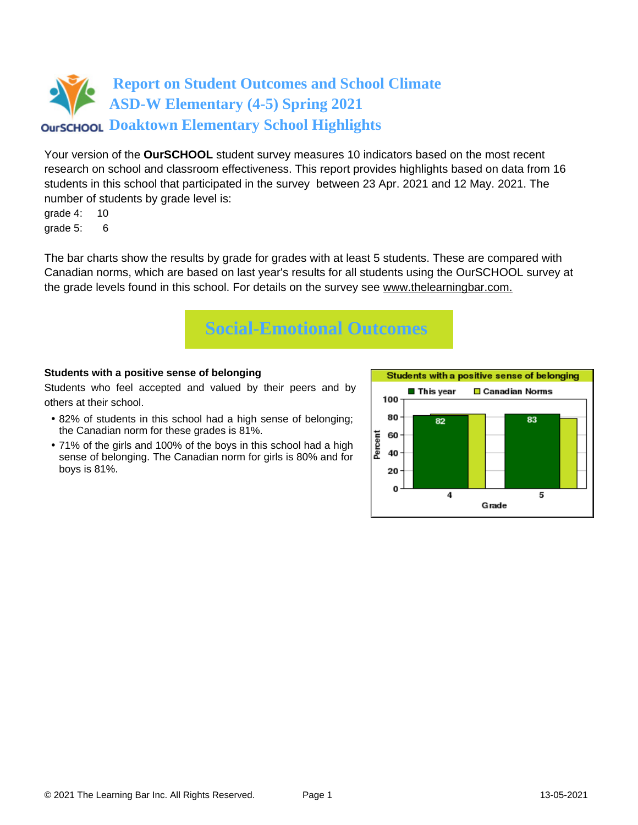

Your version of the **OurSCHOOL** student survey measures 10 indicators based on the most recent research on school and classroom effectiveness. This report provides highlights based on data from 16 students in this school that participated in the survey between 23 Apr. 2021 and 12 May. 2021. The number of students by grade level is:

grade 4: 10 grade 5: 6

The bar charts show the results by grade for grades with at least 5 students. These are compared with Canadian norms, which are based on last year's results for all students using the OurSCHOOL survey at the grade levels found in this school. For details on the survey see [www.thelearningbar.com.](www.thelearningbar.com)



### **Students with a positive sense of belonging**

Students who feel accepted and valued by their peers and by others at their school.

- 82% of students in this school had a high sense of belonging; the Canadian norm for these grades is 81%.
- 71% of the girls and 100% of the boys in this school had a high sense of belonging. The Canadian norm for girls is 80% and for boys is 81%.

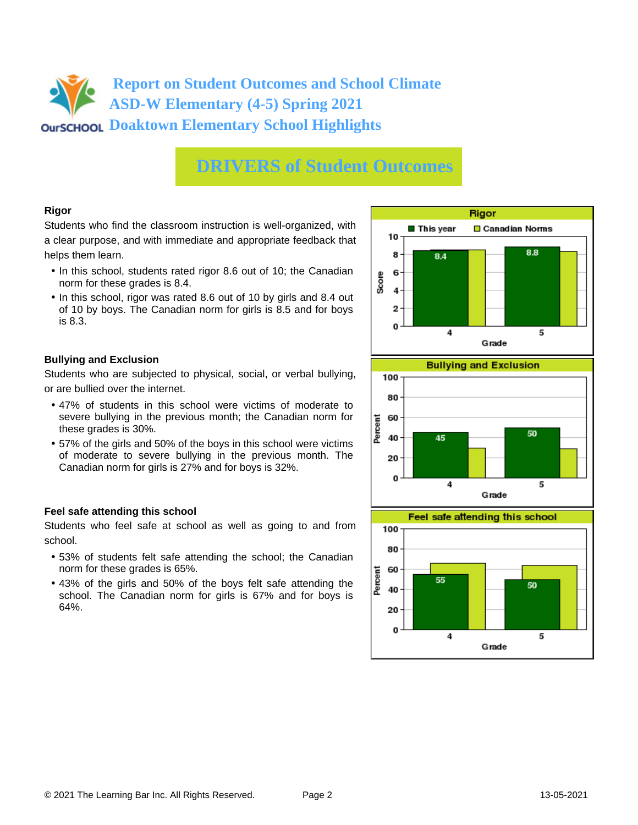## **Report on Student Outcomes and School Climate ASD-W Elementary (4-5) Spring 2021 Doaktown Elementary School Highlights**

## **DRIVERS of Student Outcomes**

### **Rigor**

Students who find the classroom instruction is well-organized, with a clear purpose, and with immediate and appropriate feedback that helps them learn.

- In this school, students rated rigor 8.6 out of 10; the Canadian norm for these grades is 8.4.
- In this school, rigor was rated 8.6 out of 10 by girls and 8.4 out of 10 by boys. The Canadian norm for girls is 8.5 and for boys is 8.3.

### **Bullying and Exclusion**

Students who are subjected to physical, social, or verbal bullying, or are bullied over the internet.

- 47% of students in this school were victims of moderate to severe bullying in the previous month; the Canadian norm for these grades is 30%.
- 57% of the girls and 50% of the boys in this school were victims of moderate to severe bullying in the previous month. The Canadian norm for girls is 27% and for boys is 32%.

### **Feel safe attending this school**

Students who feel safe at school as well as going to and from school.

- 53% of students felt safe attending the school; the Canadian norm for these grades is 65%.
- 43% of the girls and 50% of the boys felt safe attending the school. The Canadian norm for girls is 67% and for boys is 64%.





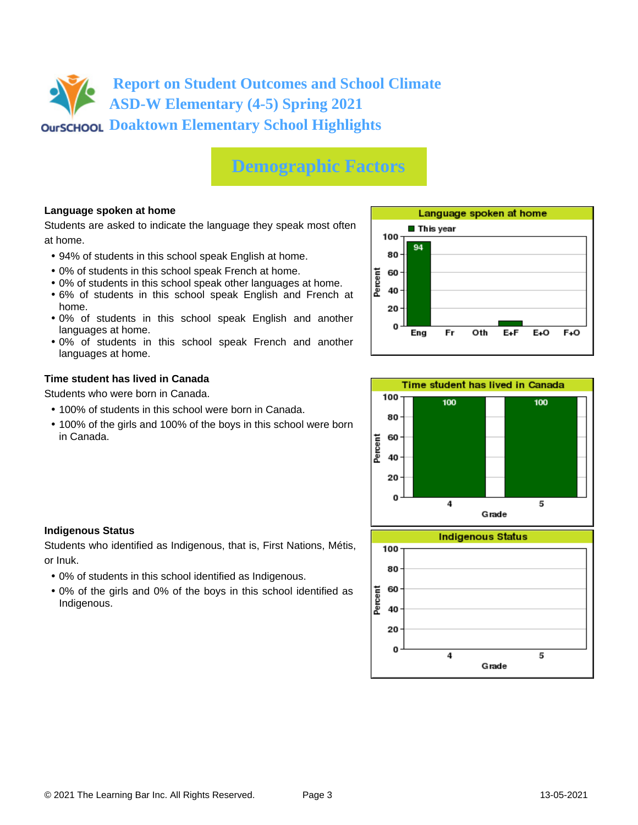## **Report on Student Outcomes and School Climate ASD-W Elementary (4-5) Spring 2021 Doaktown Elementary School Highlights**

# **Demographic Factors**

## **Language spoken at home**

Students are asked to indicate the language they speak most often at home.

- 94% of students in this school speak English at home.
- 0% of students in this school speak French at home.
- 0% of students in this school speak other languages at home.
- 6% of students in this school speak English and French at home.
- 0% of students in this school speak English and another languages at home.
- 0% of students in this school speak French and another languages at home.

### **Time student has lived in Canada**

Students who were born in Canada.

- 100% of students in this school were born in Canada.
- 100% of the girls and 100% of the boys in this school were born in Canada.





### **Indigenous Status**

Students who identified as Indigenous, that is, First Nations, Métis, or Inuk.

- 0% of students in this school identified as Indigenous.
- 0% of the girls and 0% of the boys in this school identified as Indigenous.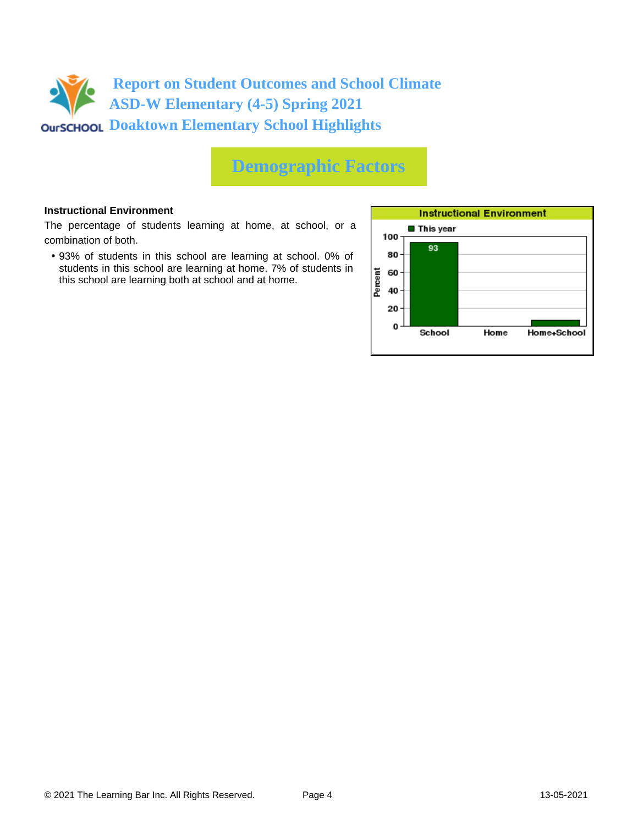

## **Demographic Factors**

#### **Instructional Environment**

The percentage of students learning at home, at school, or a combination of both.

• 93% of students in this school are learning at school. 0% of students in this school are learning at home. 7% of students in this school are learning both at school and at home.

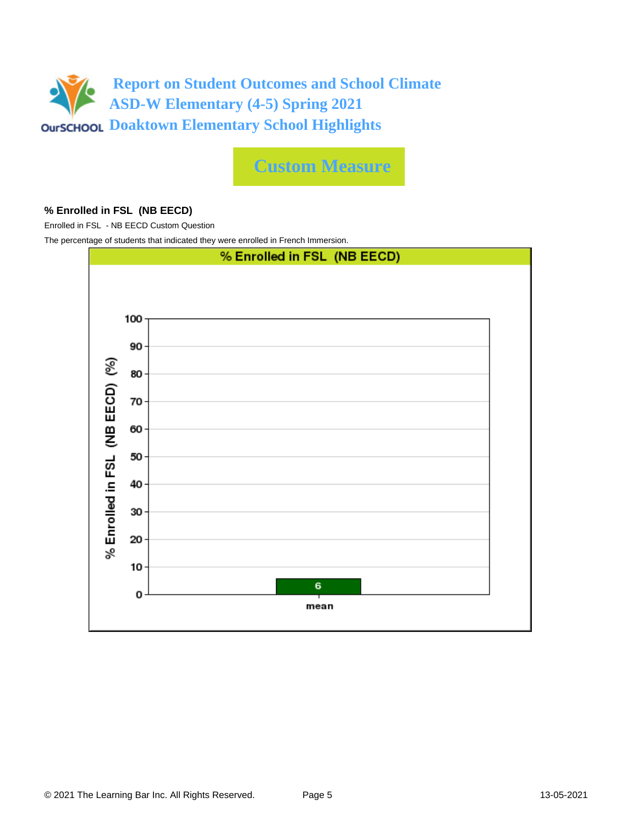

**Custom Measure**

### **% Enrolled in FSL (NB EECD)**

Enrolled in FSL - NB EECD Custom Question

The percentage of students that indicated they were enrolled in French Immersion.

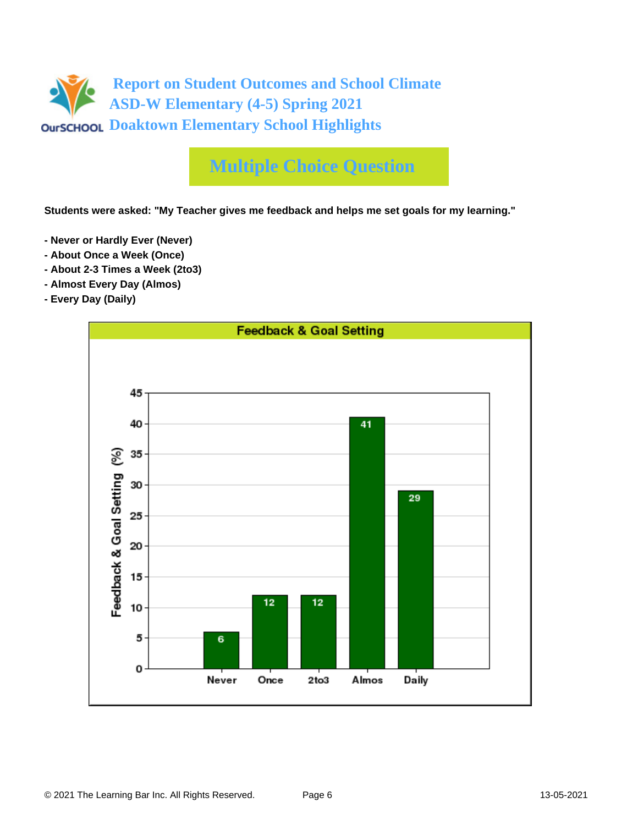

# **Multiple Choice Question**

**Students were asked: "My Teacher gives me feedback and helps me set goals for my learning."**

- **Never or Hardly Ever (Never)**
- **About Once a Week (Once)**
- **About 2-3 Times a Week (2to3)**
- **Almost Every Day (Almos)**
- **Every Day (Daily)**